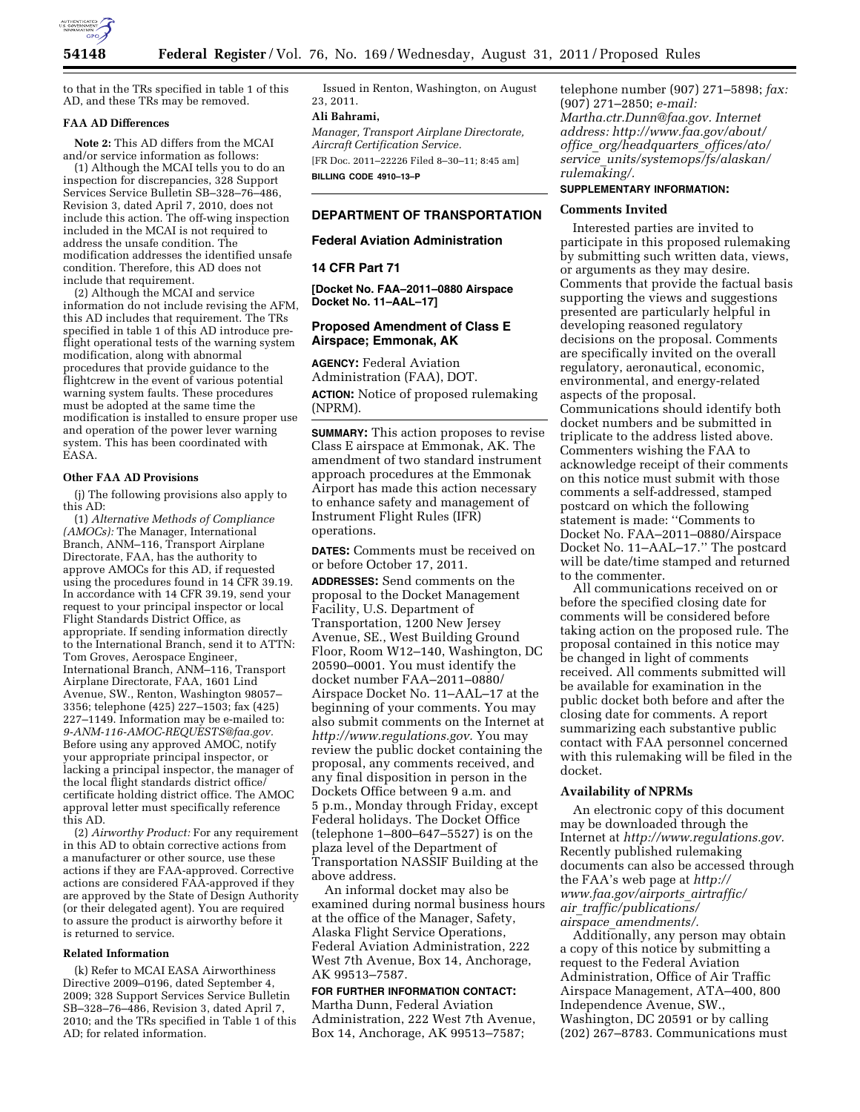

to that in the TRs specified in table 1 of this AD, and these TRs may be removed.

#### **FAA AD Differences**

**Note 2:** This AD differs from the MCAI and/or service information as follows:

(1) Although the MCAI tells you to do an inspection for discrepancies, 328 Support Services Service Bulletin SB–328–76–486, Revision 3, dated April 7, 2010, does not include this action. The off-wing inspection included in the MCAI is not required to address the unsafe condition. The modification addresses the identified unsafe condition. Therefore, this AD does not include that requirement.

(2) Although the MCAI and service information do not include revising the AFM, this AD includes that requirement. The TRs specified in table 1 of this AD introduce preflight operational tests of the warning system modification, along with abnormal procedures that provide guidance to the flightcrew in the event of various potential warning system faults. These procedures must be adopted at the same time the modification is installed to ensure proper use and operation of the power lever warning system. This has been coordinated with EASA.

#### **Other FAA AD Provisions**

(j) The following provisions also apply to this AD:

(1) *Alternative Methods of Compliance (AMOCs):* The Manager, International Branch, ANM–116, Transport Airplane Directorate, FAA, has the authority to approve AMOCs for this AD, if requested using the procedures found in 14 CFR 39.19. In accordance with 14 CFR 39.19, send your request to your principal inspector or local Flight Standards District Office, as appropriate. If sending information directly to the International Branch, send it to ATTN: Tom Groves, Aerospace Engineer, International Branch, ANM–116, Transport Airplane Directorate, FAA, 1601 Lind Avenue, SW., Renton, Washington 98057– 3356; telephone (425) 227–1503; fax (425) 227–1149. Information may be e-mailed to: *[9-ANM-116-AMOC-REQUESTS@faa.gov.](mailto:9-ANM-116-AMOC-REQUESTS@faa.gov)*  Before using any approved AMOC, notify your appropriate principal inspector, or lacking a principal inspector, the manager of the local flight standards district office/ certificate holding district office. The AMOC approval letter must specifically reference this AD.

(2) *Airworthy Product:* For any requirement in this AD to obtain corrective actions from a manufacturer or other source, use these actions if they are FAA-approved. Corrective actions are considered FAA-approved if they are approved by the State of Design Authority (or their delegated agent). You are required to assure the product is airworthy before it is returned to service.

#### **Related Information**

(k) Refer to MCAI EASA Airworthiness Directive 2009–0196, dated September 4, 2009; 328 Support Services Service Bulletin SB–328–76–486, Revision 3, dated April 7, 2010; and the TRs specified in Table 1 of this AD; for related information.

Issued in Renton, Washington, on August 23, 2011.

# **Ali Bahrami,**

*Manager, Transport Airplane Directorate, Aircraft Certification Service.* 

[FR Doc. 2011–22226 Filed 8–30–11; 8:45 am] **BILLING CODE 4910–13–P** 

### **DEPARTMENT OF TRANSPORTATION**

#### **Federal Aviation Administration**

### **14 CFR Part 71**

**[Docket No. FAA–2011–0880 Airspace Docket No. 11–AAL–17]** 

## **Proposed Amendment of Class E Airspace; Emmonak, AK**

**AGENCY:** Federal Aviation Administration (FAA), DOT. **ACTION:** Notice of proposed rulemaking (NPRM).

**SUMMARY:** This action proposes to revise Class E airspace at Emmonak, AK. The amendment of two standard instrument approach procedures at the Emmonak Airport has made this action necessary to enhance safety and management of Instrument Flight Rules (IFR) operations.

**DATES:** Comments must be received on or before October 17, 2011.

**ADDRESSES:** Send comments on the proposal to the Docket Management Facility, U.S. Department of Transportation, 1200 New Jersey Avenue, SE., West Building Ground Floor, Room W12–140, Washington, DC 20590–0001. You must identify the docket number FAA–2011–0880/ Airspace Docket No. 11–AAL–17 at the beginning of your comments. You may also submit comments on the Internet at *[http://www.regulations.gov.](http://www.regulations.gov)* You may review the public docket containing the proposal, any comments received, and any final disposition in person in the Dockets Office between 9 a.m. and 5 p.m., Monday through Friday, except Federal holidays. The Docket Office (telephone 1–800–647–5527) is on the plaza level of the Department of Transportation NASSIF Building at the above address.

An informal docket may also be examined during normal business hours at the office of the Manager, Safety, Alaska Flight Service Operations, Federal Aviation Administration, 222 West 7th Avenue, Box 14, Anchorage, AK 99513–7587.

### **FOR FURTHER INFORMATION CONTACT:**

Martha Dunn, Federal Aviation Administration, 222 West 7th Avenue, Box 14, Anchorage, AK 99513–7587;

telephone number (907) 271–5898; *fax:*  (907) 271–2850; *e-mail: Martha.ctr.Dunn@faa.gov. Internet address: http://www.faa.gov/about/ office*\_*org/headquarters*\_*offices/ato/ service*\_*units/systemops/fs/alaskan/ rulemaking/.* 

## **SUPPLEMENTARY INFORMATION:**

#### **Comments Invited**

Interested parties are invited to participate in this proposed rulemaking by submitting such written data, views, or arguments as they may desire. Comments that provide the factual basis supporting the views and suggestions presented are particularly helpful in developing reasoned regulatory decisions on the proposal. Comments are specifically invited on the overall regulatory, aeronautical, economic, environmental, and energy-related aspects of the proposal. Communications should identify both docket numbers and be submitted in triplicate to the address listed above. Commenters wishing the FAA to acknowledge receipt of their comments on this notice must submit with those comments a self-addressed, stamped postcard on which the following statement is made: ''Comments to Docket No. FAA–2011–0880/Airspace Docket No. 11–AAL–17.'' The postcard will be date/time stamped and returned to the commenter.

All communications received on or before the specified closing date for comments will be considered before taking action on the proposed rule. The proposal contained in this notice may be changed in light of comments received. All comments submitted will be available for examination in the public docket both before and after the closing date for comments. A report summarizing each substantive public contact with FAA personnel concerned with this rulemaking will be filed in the docket.

# **Availability of NPRMs**

An electronic copy of this document may be downloaded through the Internet at *[http://www.regulations.gov.](http://www.regulations.gov)*  Recently published rulemaking documents can also be accessed through the FAA's web page at *[http://](http://www.faa.gov/airports_airtraffic/air_traffic/publications/airspace_amendments/) [www.faa.gov/airports](http://www.faa.gov/airports_airtraffic/air_traffic/publications/airspace_amendments/)*\_*airtraffic/ air*\_*[traffic/publications/](http://www.faa.gov/airports_airtraffic/air_traffic/publications/airspace_amendments/) airspace*\_*[amendments/.](http://www.faa.gov/airports_airtraffic/air_traffic/publications/airspace_amendments/)* 

Additionally, any person may obtain a copy of this notice by submitting a request to the Federal Aviation Administration, Office of Air Traffic Airspace Management, ATA–400, 800 Independence Avenue, SW., Washington, DC 20591 or by calling (202) 267–8783. Communications must